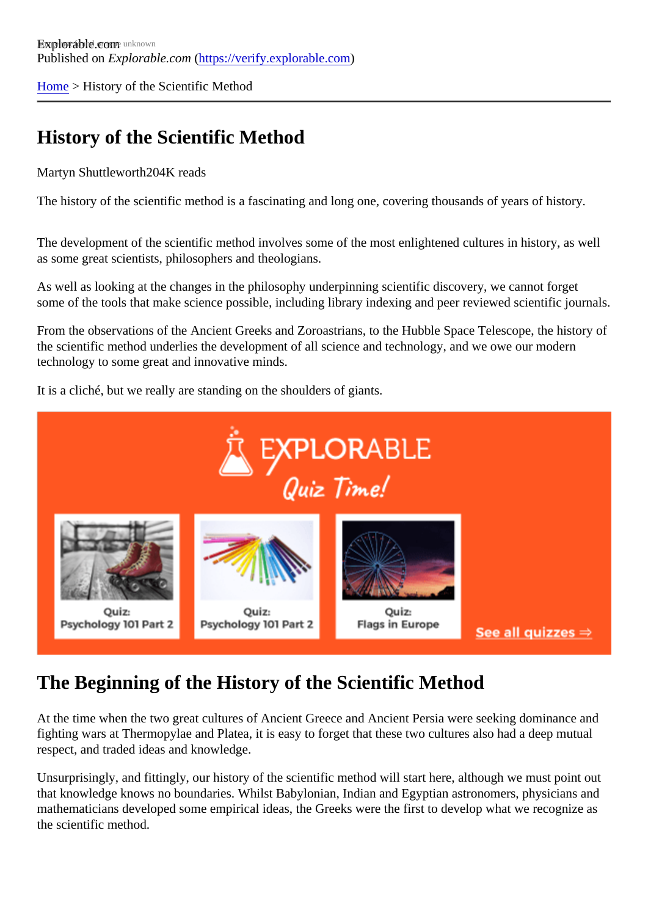[Home](https://verify.explorable.com/) > History of the Scientific Method

# History of the Scientific Method

Martyn Shuttlewort<sup>h204</sup>K reads

The history of the scientific method is a fascinating and long one, covering thousands of years of history.

The development of the scientific method involves some of the most enlightened cultures in history, as we as some great scientists, philosophers and theologians.

As well as looking at the changes in the philosophy underpinning scientific discovery, we cannot forget some of the tools that make science possible, including library indexing and peer reviewed scientific journals

From the observations of the Ancient Greeks and Zoroastrians, to the Hubble Space Telescope, the histor the scientific method underlies the development of all science and technology, and we owe our modern technology to some great and innovative minds.

It is a cliché, but we really are standing on the shoulders of giants.

# The Beginning of the History of the Scientific Method

At the time when the two great cultures of Ancient Greece and Ancient Persia were seeking dominance ar fighting wars at Thermopylae and Platea, it is easy to forget that these two cultures also had a deep mutual respect, and traded ideas and knowledge.

Unsurprisingly, and fittingly, our history of the scientific method will start here, although we must point out that knowledge knows no boundaries. Whilst Babylonian, Indian and Egyptian astronomers, physicians an mathematicians developed some empirical ideas, the Greeks were the first to develop what we recognize the scientific method.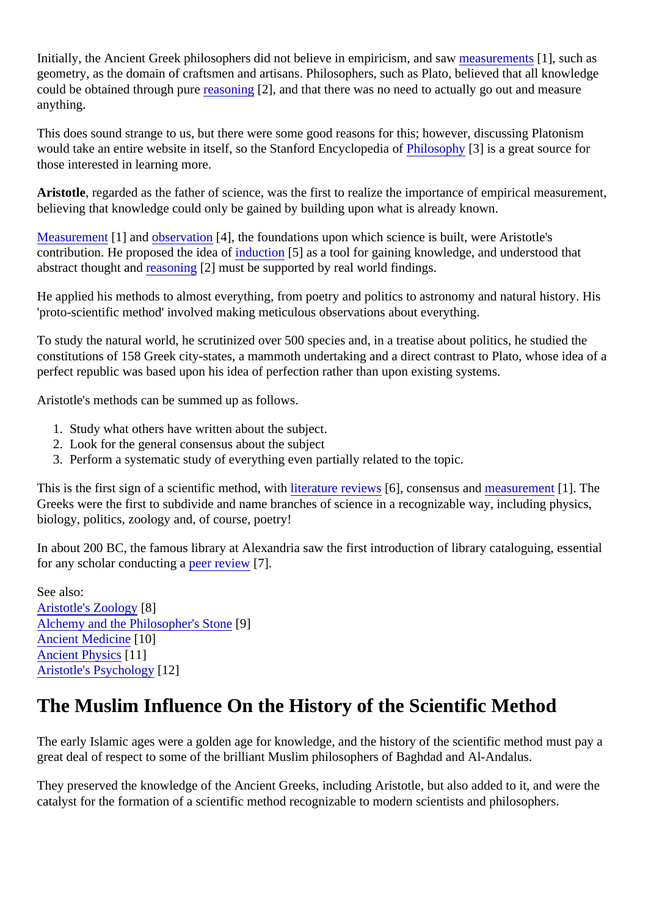Initially, the Ancient Greek philosophers did not believe in empiricism, and **s** as undertaked as geometry, as the domain of craftsmen and artisans. Philosophers, such as Plato, believed that all knowled could be obtained through pure asoning 2], and that there was no need to actually go out and measure anything.

This does sound strange to us, but there were some good reasons for this; however, discussing Platonism would take an entire website in itself, so the Stanford Encyclopedia losophy[3] is a great source for those interested in learning more.

Aristotle, regarded as the father of science, was the first to realize the importance of empirical measurement believing that knowledge could only be gained by building upon what is already known.

[Measuremen](https://verify.explorable.com/scientific-measurements)t1] and [observation](https://verify.explorable.com/observational-study) [4], the foundations upon which science is built, were Aristotle's contribution. He proposed the idea *of uction* [5] as a tool for gaining knowledge, and understood that abstract thought and asoning 2] must be supported by real world findings.

He applied his methods to almost everything, from poetry and politics to astronomy and natural history. His 'proto-scientific method' involved making meticulous observations about everything.

To study the natural world, he scrutinized over 500 species and, in a treatise about politics, he studied the constitutions of 158 Greek city-states, a mammoth undertaking and a direct contrast to Plato, whose idea perfect republic was based upon his idea of perfection rather than upon existing systems.

Aristotle's methods can be summed up as follows.

- 1. Study what others have written about the subject.
- 2. Look for the general consensus about the subject
- 3. Perform a systematic study of everything even partially related to the topic.

This is the first sign of a scientific method, with rature review\$6], consensus and easurement [1]. The Greeks were the first to subdivide and name branches of science in a recognizable way, including physics, biology, politics, zoology and, of course, poetry!

In about 200 BC, the famous library at Alexandria saw the first introduction of library cataloguing, essential for any scholar conducting peer review[7].

See also: [Aristotle's Zoology](https://verify.explorable.com/aristotles-zoology)[8] [Alchemy and the Philosopher's St](https://verify.explorable.com/alchemy)o<sup>1</sup>e **[Ancient Medicine](https://verify.explorable.com/ancient-medicine) 10] [Ancient Physic](https://verify.explorable.com/ancient-physics)s111** [Aristotle's Psycholog](https://verify.explorable.com/aristotles-psychology)[12]

#### The Muslim Influence On the History of the Scientific Method

The early Islamic ages were a golden age for knowledge, and the history of the scientific method must pay great deal of respect to some of the brilliant Muslim philosophers of Baghdad and Al-Andalus.

They preserved the knowledge of the Ancient Greeks, including Aristotle, but also added to it, and were the catalyst for the formation of a scientific method recognizable to modern scientists and philosophers.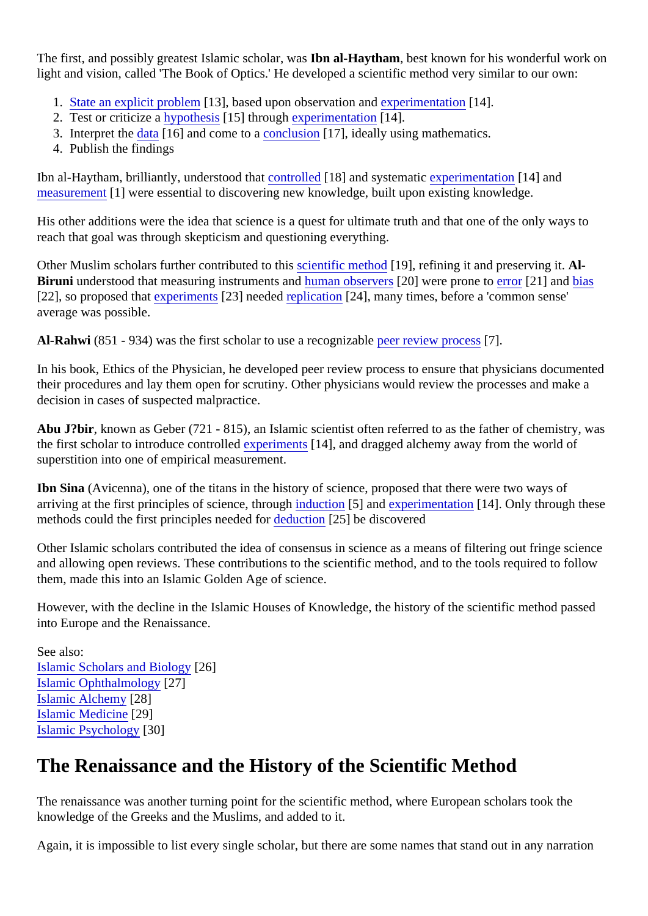The first, and possibly greatest Islamic scholar, **Noasal-Haytham**, best known for his wonderful work on light and vision, called 'The Book of Optics.' He developed a scientific method very similar to our own:

- 1. [State an explicit proble](https://verify.explorable.com/defining-a-research-problem)m 3], based upon observation and perimentation 14].
- 2. Test or criticize [a hypothesi](https://verify.explorable.com/hypothesis-testing)s<sup>15</sup>] throug[h experimentatio](https://verify.explorable.com/conducting-an-experiment)n<sup>[14]</sup>.
- 3. Interpret th[e data](https://verify.explorable.com/statistical-data-sets)[16] and come to a onclusion[17], ideally using mathematics.
- 4. Publish the findings

Ibn al-Haytham, brilliantly, understood that ntrolled [18] and systematiox perimentation [14] and [measuremen](https://verify.explorable.com/scientific-measurements)t ] were essential to discovering new knowledge, built upon existing knowledge.

His other additions were the idea that science is a quest for ultimate truth and that one of the only ways to reach that goal was through skepticism and questioning everything.

Other Muslim scholars further contributed to this entific method 19], refining it and preserving it. AlBiruni understood that measuring instruments and an observer<sup>[20]</sup> were prone t[o error](https://verify.explorable.com/type-I-error)<sup>[21]</sup> an[d bias](https://verify.explorable.com/research-bias) [22], so proposed that xperiment \$23] neede[d replication](https://verify.explorable.com/reproducibility) [24], many times, before a 'common sense' average was possible.

Al-Rahwi (851 - 934) was the first scholar to use a recognizable review process.

In his book, Ethics of the Physician, he developed peer review process to ensure that physicians documer their procedures and lay them open for scrutiny. Other physicians would review the processes and make a decision in cases of suspected malpractice.

Abu J?bir, known as Geber (721 - 815), an Islamic scientist often referred to as the father of chemistry, was the first scholar to introduce controlled periment \$14], and dragged alchemy away from the world of superstition into one of empirical measurement.

Ibn Sina (Avicenna), one of the titans in the history of science, proposed that there were two ways of arriving at the first principles of science, througduction[5] an[d experimentatio](https://verify.explorable.com/conducting-an-experiment)n[14]. Only through these methods could the first principles neededdeduction[25] be discovered

Other Islamic scholars contributed the idea of consensus in science as a means of filtering out fringe scier and allowing open reviews. These contributions to the scientific method, and to the tools required to follow them, made this into an Islamic Golden Age of science.

However, with the decline in the Islamic Houses of Knowledge, the history of the scientific method passed into Europe and the Renaissance.

See also: [Islamic Scholars and Biolog](https://verify.explorable.com/islamic-scholars-and-biology)26] [Islamic Ophthalmolog](https://verify.explorable.com/islamic-ophthalmology)y<sup>27</sup>] [Islamic Alchemy](https://verify.explorable.com/islamic-alchemy)[28] [Islamic Medicine](https://verify.explorable.com/islamic-medicine)[29] [Islamic Psycholog](https://verify.explorable.com/islamic-psychology)y<sup>[30]</sup>

#### The Renaissance and the History of the Scientific Method

The renaissance was another turning point for the scientific method, where European scholars took the knowledge of the Greeks and the Muslims, and added to it.

Again, it is impossible to list every single scholar, but there are some names that stand out in any narration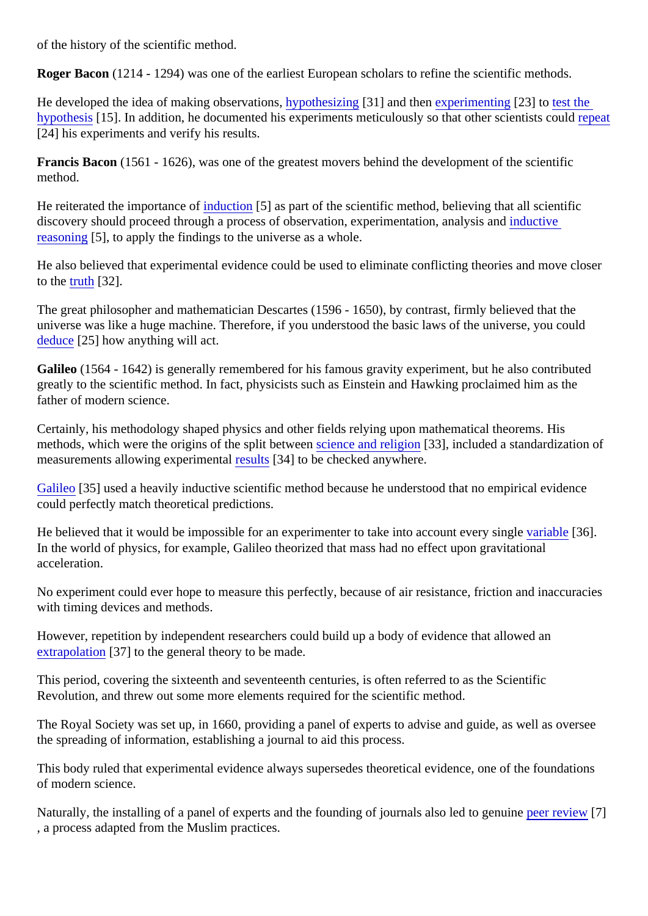of the history of the scientific method.

Roger Bacon (1214 - 1294) was one of the earliest European scholars to refine the scientific methods.

He developed the idea of making observations pothesizing 31] and ther experimenting 23] to [test the](https://verify.explorable.com/hypothesis-testing) [hypothesi](https://verify.explorable.com/hypothesis-testing)s<sup>[15]</sup>. In addition, he documented his experiments meticulously so that other scientistropeatd [24] his experiments and verify his results.

Francis Bacon (1561 - 1626), was one of the greatest movers behind the development of the scientific method.

He reiterated the importance induction[5] as part of the scientific method, believing that all scientific discovery should proceed through a process of observation, experimentation, analysis and [reasoning](https://verify.explorable.com/inductive-reasoning) 5], to apply the findings to the universe as a whole.

He also believed that experimental evidence could be used to eliminate conflicting theories and move close to th[e truth](https://verify.explorable.com/truth-and-theory) [32].

The great philosopher and mathematician Descartes (1596 - 1650), by contrast, firmly believed that the universe was like a huge machine. Therefore, if you understood the basic laws of the universe, you could [deduce](https://verify.explorable.com/deductive-reasoning)[25] how anything will act.

Galileo (1564 - 1642) is generally remembered for his famous gravity experiment, but he also contributed greatly to the scientific method. In fact, physicists such as Einstein and Hawking proclaimed him as the father of modern science.

Certainly, his methodology shaped physics and other fields relying upon mathematical theorems. His methods, which were the origins of the split betweence and religion<sup>[33]</sup>, included a standardization of measurements allowing experimentabults[34] to be checked anywhere.

[Galileo](https://verify.explorable.com/galileo-galilei)[35] used a heavily inductive scientific method because he understood that no empirical evidence could perfectly match theoretical predictions.

He believed that it would be impossible for an experimenter to take into account every simile [36]. In the world of physics, for example, Galileo theorized that mass had no effect upon gravitational acceleration.

No experiment could ever hope to measure this perfectly, because of air resistance, friction and inaccuracies with timing devices and methods.

However, repetition by independent researchers could build up a body of evidence that allowed an [extrapolation](https://verify.explorable.com/what-is-generalization)<sup>[37]</sup> to the general theory to be made.

This period, covering the sixteenth and seventeenth centuries, is often referred to as the Scientific Revolution, and threw out some more elements required for the scientific method.

The Royal Society was set up, in 1660, providing a panel of experts to advise and guide, as well as overse the spreading of information, establishing a journal to aid this process.

This body ruled that experimental evidence always supersedes theoretical evidence, one of the foundatior of modern science.

Naturally, the installing of a panel of experts and the founding of journals also led to genuine view [7] , a process adapted from the Muslim practices.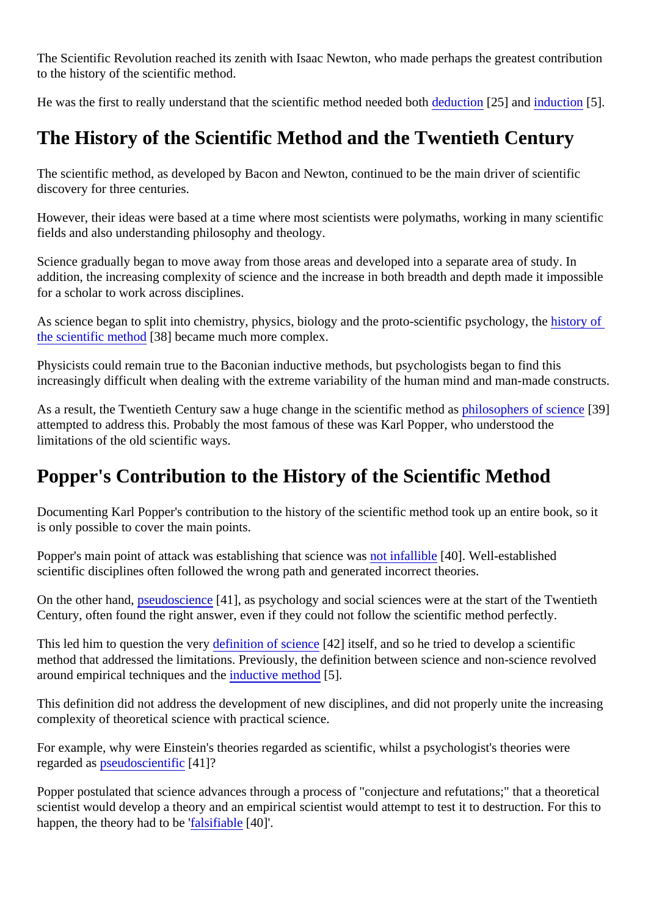The Scientific Revolution reached its zenith with Isaac Newton, who made perhaps the greatest contribution to the history of the scientific method.

He was the first to really understand that the scientific method needed but tion [25] and [induction](https://verify.explorable.com/inductive-reasoning) [5].

# The History of the Scientific Method and the Twentieth Century

The scientific method, as developed by Bacon and Newton, continued to be the main driver of scientific discovery for three centuries.

However, their ideas were based at a time where most scientists were polymaths, working in many scienti fields and also understanding philosophy and theology.

Science gradually began to move away from those areas and developed into a separate area of study. In addition, the increasing complexity of science and the increase in both breadth and depth made it impossi for a scholar to work across disciplines.

As science began to split into chemistry, physics, biology and the proto-scientific psychology to heat [the scientific metho](http://science.howstuffworks.com/innovation/scientific-experiments/scientific-method3.htm)d 38] became much more complex.

Physicists could remain true to the Baconian inductive methods, but psychologists began to find this increasingly difficult when dealing with the extreme variability of the human mind and man-made construct

As a result, the Twentieth Century saw a huge change in the scientific methology as phers of science [39] attempted to address this. Probably the most famous of these was Karl Popper, who understood the limitations of the old scientific ways.

### Popper's Contribution to the History of the Scientific Method

Documenting Karl Popper's contribution to the history of the scientific method took up an entire book, so it is only possible to cover the main points.

Popper's main point of attack was establishing that science ow as fallible [40]. Well-established scientific disciplines often followed the wrong path and generated incorrect theories.

On the other hand, seudoscience [41], as psychology and social sciences were at the start of the Twentieth Century, often found the right answer, even if they could not follow the scientific method perfectly.

This led him to question the vedefinition of science<sup>[42]</sup> itself, and so he tried to develop a scientific method that addressed the limitations. Previously, the definition between science and non-science revolve around empirical techniques and the uctive method<sup>5</sup>].

This definition did not address the development of new disciplines, and did not properly unite the increasing complexity of theoretical science with practical science.

For example, why were Einstein's theories regarded as scientific, whilst a psychologist's theories were regarded asseudoscientific41]?

Popper postulated that science advances through a process of "conjecture and refutations;" that a theoret scientist would develop a theory and an empirical scientist would attempt to test it to destruction. For this t happen, the theory had to bustifiable[40]'.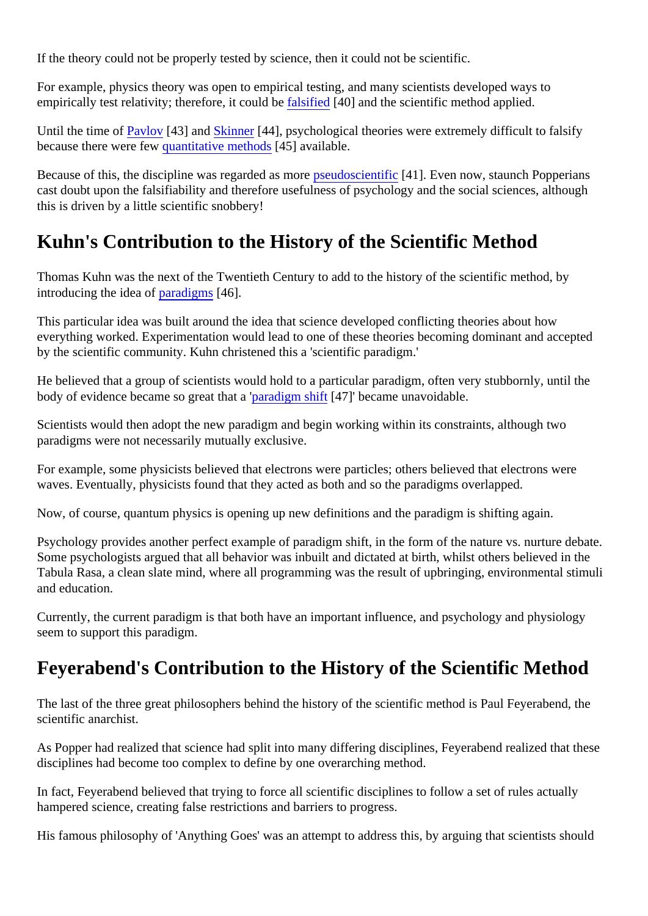If the theory could not be properly tested by science, then it could not be scientific.

For example, physics theory was open to empirical testing, and many scientists developed ways to empirically test relativity; therefore, it could be stified [40] and the scientific method applied.

Until the time o[f Pavlov](https://verify.explorable.com/classical-conditioning)<sup>[43]</sup> an[d Skinner](https://verify.explorable.com/operant-conditioning)<sup>[44]</sup>, psychological theories were extremely difficult to falsify because there were faw antitative method<sup>[45]</sup> available.

Because of this, the discipline was regarded as **prore**doscientific<sup>41</sup>]. Even now, staunch Popperians cast doubt upon the falsifiability and therefore usefulness of psychology and the social sciences, although this is driven by a little scientific snobbery!

#### Kuhn's Contribution to the History of the Scientific Method

Thomas Kuhn was the next of the Twentieth Century to add to the history of the scientific method, by introducing the idea *ofaradigms*[46].

This particular idea was built around the idea that science developed conflicting theories about how everything worked. Experimentation would lead to one of these theories becoming dominant and accepted by the scientific community. Kuhn christened this a 'scientific paradigm.'

He believed that a group of scientists would hold to a particular paradigm, often very stubbornly, until the body of evidence became so great that a digm shift [47]' became unavoidable.

Scientists would then adopt the new paradigm and begin working within its constraints, although two paradigms were not necessarily mutually exclusive.

For example, some physicists believed that electrons were particles; others believed that electrons were waves. Eventually, physicists found that they acted as both and so the paradigms overlapped.

Now, of course, quantum physics is opening up new definitions and the paradigm is shifting again.

Psychology provides another perfect example of paradigm shift, in the form of the nature vs. nurture debate. Some psychologists argued that all behavior was inbuilt and dictated at birth, whilst others believed in the Tabula Rasa, a clean slate mind, where all programming was the result of upbringing, environmental stimuli and education.

Currently, the current paradigm is that both have an important influence, and psychology and physiology seem to support this paradigm.

### Feyerabend's Contribution to the History of the Scientific Method

The last of the three great philosophers behind the history of the scientific method is Paul Feyerabend, the scientific anarchist.

As Popper had realized that science had split into many differing disciplines, Feyerabend realized that the disciplines had become too complex to define by one overarching method.

In fact, Feyerabend believed that trying to force all scientific disciplines to follow a set of rules actually hampered science, creating false restrictions and barriers to progress.

His famous philosophy of 'Anything Goes' was an attempt to address this, by arguing that scientists should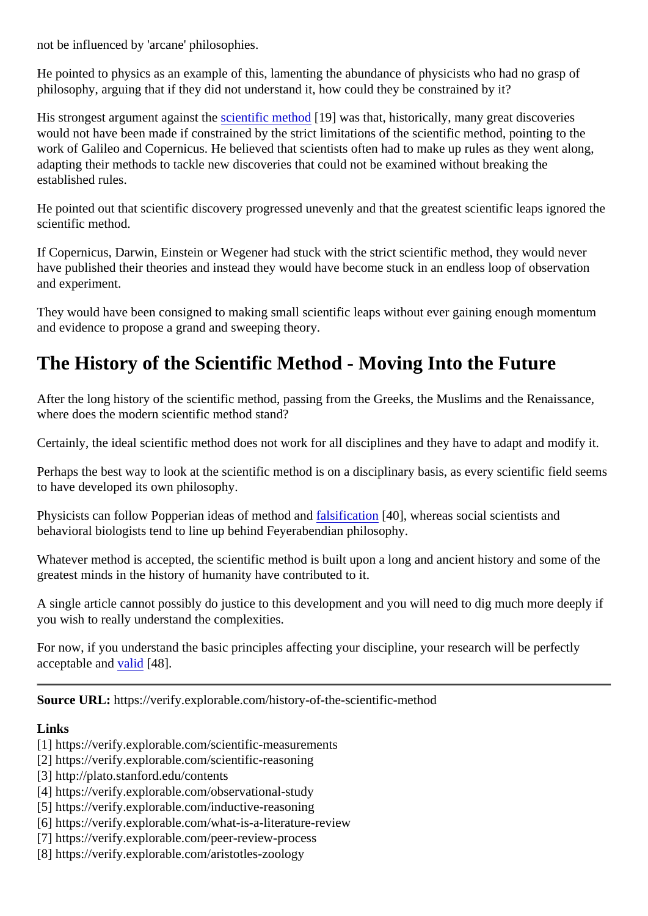not be influenced by 'arcane' philosophies.

He pointed to physics as an example of this, lamenting the abundance of physicists who had no grasp of philosophy, arguing that if they did not understand it, how could they be constrained by it?

His strongest argument against **stread is a stranger of stranger** was that, historically, many great discoveries would not have been made if constrained by the strict limitations of the scientific method, pointing to the work of Galileo and Copernicus. He believed that scientists often had to make up rules as they went along, adapting their methods to tackle new discoveries that could not be examined without breaking the established rules.

He pointed out that scientific discovery progressed unevenly and that the greatest scientific leaps ignored scientific method.

If Copernicus, Darwin, Einstein or Wegener had stuck with the strict scientific method, they would never have published their theories and instead they would have become stuck in an endless loop of observation and experiment.

They would have been consigned to making small scientific leaps without ever gaining enough momentum and evidence to propose a grand and sweeping theory.

## The History of the Scientific Method - Moving Into the Future

After the long history of the scientific method, passing from the Greeks, the Muslims and the Renaissance, where does the modern scientific method stand?

Certainly, the ideal scientific method does not work for all disciplines and they have to adapt and modify it.

Perhaps the best way to look at the scientific method is on a disciplinary basis, as every scientific field see to have developed its own philosophy.

Physicists can follow Popperian ideas of method faltostication [40], whereas social scientists and behavioral biologists tend to line up behind Feyerabendian philosophy.

Whatever method is accepted, the scientific method is built upon a long and ancient history and some of the greatest minds in the history of humanity have contributed to it.

A single article cannot possibly do justice to this development and you will need to dig much more deeply you wish to really understand the complexities.

For now, if you understand the basic principles affecting your discipline, your research will be perfectly acceptable and alid [48].

Source URL: https://verify.explorable.com/history-of-the-scientific-method

Links

- [1] https://verify.explorable.com/scientific-measurements
- [2] https://verify.explorable.com/scientific-reasoning
- [3] http://plato.stanford.edu/contents
- [4] https://verify.explorable.com/observational-study
- [5] https://verify.explorable.com/inductive-reasoning
- [6] https://verify.explorable.com/what-is-a-literature-review
- [7] https://verify.explorable.com/peer-review-process
- [8] https://verify.explorable.com/aristotles-zoology